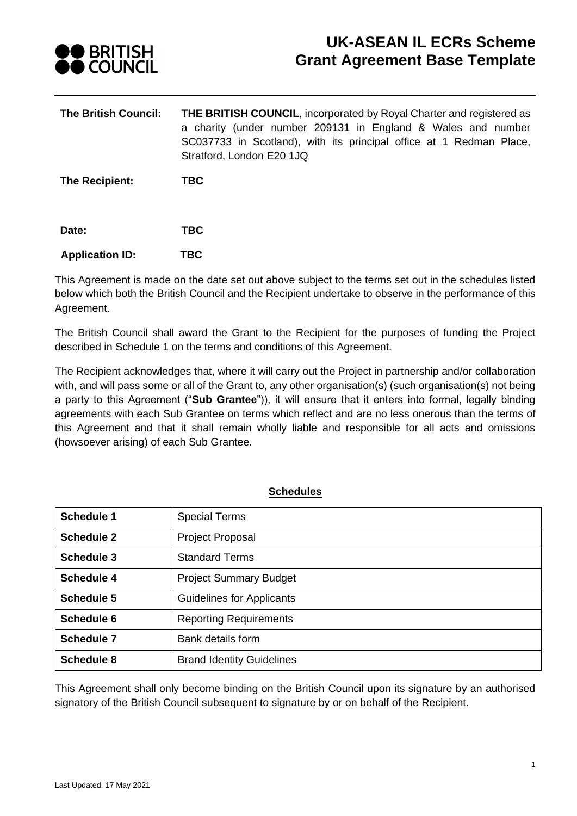

# **UK-ASEAN IL ECRs Scheme Grant Agreement Base Template**

**The British Council: THE BRITISH COUNCIL**, incorporated by Royal Charter and registered as a charity (under number 209131 in England & Wales and number SC037733 in Scotland), with its principal office at 1 Redman Place, Stratford, London E20 1JQ

**The Recipient: TBC**

| Date: | <b>TBC</b> |
|-------|------------|
|       |            |

### **Application ID: TBC**

This Agreement is made on the date set out above subject to the terms set out in the schedules listed below which both the British Council and the Recipient undertake to observe in the performance of this Agreement.

The British Council shall award the Grant to the Recipient for the purposes of funding the Project described in Schedule 1 on the terms and conditions of this Agreement.

The Recipient acknowledges that, where it will carry out the Project in partnership and/or collaboration with, and will pass some or all of the Grant to, any other organisation(s) (such organisation(s) not being a party to this Agreement ("**Sub Grantee**")), it will ensure that it enters into formal, legally binding agreements with each Sub Grantee on terms which reflect and are no less onerous than the terms of this Agreement and that it shall remain wholly liable and responsible for all acts and omissions (howsoever arising) of each Sub Grantee.

|--|

| <b>Schedule 1</b> | <b>Special Terms</b>             |
|-------------------|----------------------------------|
| <b>Schedule 2</b> | Project Proposal                 |
| Schedule 3        | <b>Standard Terms</b>            |
| <b>Schedule 4</b> | <b>Project Summary Budget</b>    |
| Schedule 5        | <b>Guidelines for Applicants</b> |
| Schedule 6        | <b>Reporting Requirements</b>    |
| <b>Schedule 7</b> | Bank details form                |
| <b>Schedule 8</b> | <b>Brand Identity Guidelines</b> |

This Agreement shall only become binding on the British Council upon its signature by an authorised signatory of the British Council subsequent to signature by or on behalf of the Recipient.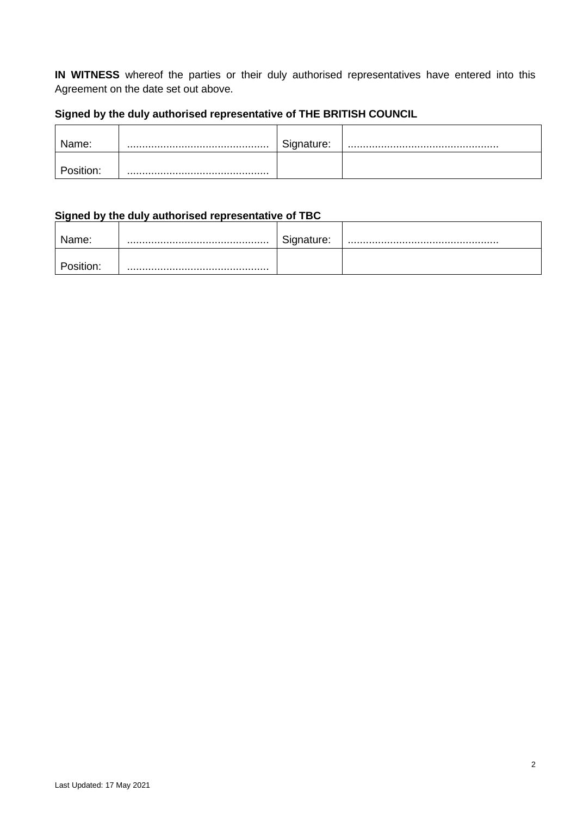**IN WITNESS** whereof the parties or their duly authorised representatives have entered into this Agreement on the date set out above.

# **Signed by the duly authorised representative of THE BRITISH COUNCIL**

| Name:    | Signature: |  |
|----------|------------|--|
| bsition: |            |  |

# **Signed by the duly authorised representative of TBC**

| Name:    | Signature: |  |
|----------|------------|--|
| osition: |            |  |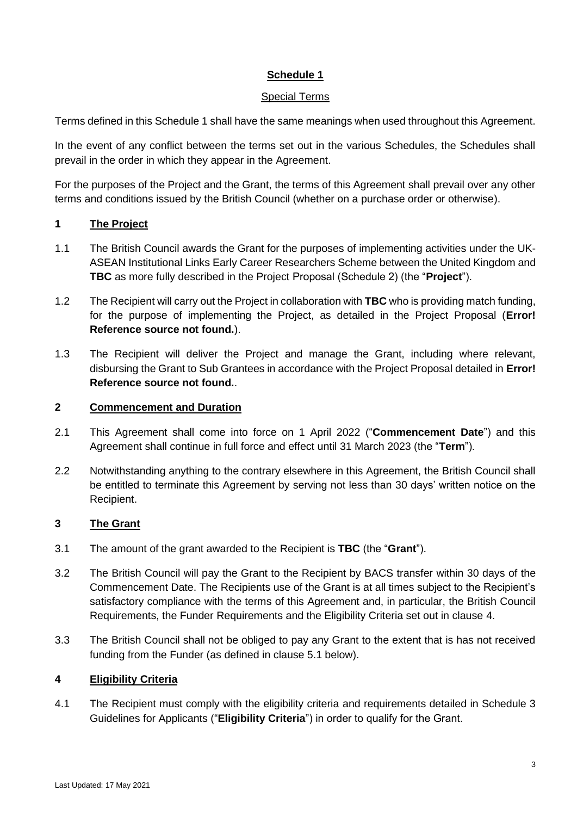#### Special Terms

Terms defined in this Schedule 1 shall have the same meanings when used throughout this Agreement.

In the event of any conflict between the terms set out in the various Schedules, the Schedules shall prevail in the order in which they appear in the Agreement.

For the purposes of the Project and the Grant, the terms of this Agreement shall prevail over any other terms and conditions issued by the British Council (whether on a purchase order or otherwise).

### **1 The Project**

- 1.1 The British Council awards the Grant for the purposes of implementing activities under the UK-ASEAN Institutional Links Early Career Researchers Scheme between the United Kingdom and **TBC** as more fully described in the Project Proposal (Schedule 2) (the "**Project**").
- 1.2 The Recipient will carry out the Project in collaboration with **TBC** who is providing match funding, for the purpose of implementing the Project, as detailed in the Project Proposal (**Error! Reference source not found.**).
- 1.3 The Recipient will deliver the Project and manage the Grant, including where relevant, disbursing the Grant to Sub Grantees in accordance with the Project Proposal detailed in **Error! Reference source not found.**.

#### **2 Commencement and Duration**

- 2.1 This Agreement shall come into force on 1 April 2022 ("**Commencement Date**") and this Agreement shall continue in full force and effect until 31 March 2023 (the "**Term**").
- 2.2 Notwithstanding anything to the contrary elsewhere in this Agreement, the British Council shall be entitled to terminate this Agreement by serving not less than 30 days' written notice on the Recipient.

#### **3 The Grant**

- 3.1 The amount of the grant awarded to the Recipient is **TBC** (the "**Grant**").
- 3.2 The British Council will pay the Grant to the Recipient by BACS transfer within 30 days of the Commencement Date. The Recipients use of the Grant is at all times subject to the Recipient's satisfactory compliance with the terms of this Agreement and, in particular, the British Council Requirements, the Funder Requirements and the Eligibility Criteria set out in clause [4.](#page-2-0)
- 3.3 The British Council shall not be obliged to pay any Grant to the extent that is has not received funding from the Funder (as defined in clause 5.1 below).

#### <span id="page-2-0"></span>**4 Eligibility Criteria**

4.1 The Recipient must comply with the eligibility criteria and requirements detailed in [Schedule 3](#page-23-0) Guidelines for Applicants ("**Eligibility Criteria**") in order to qualify for the Grant.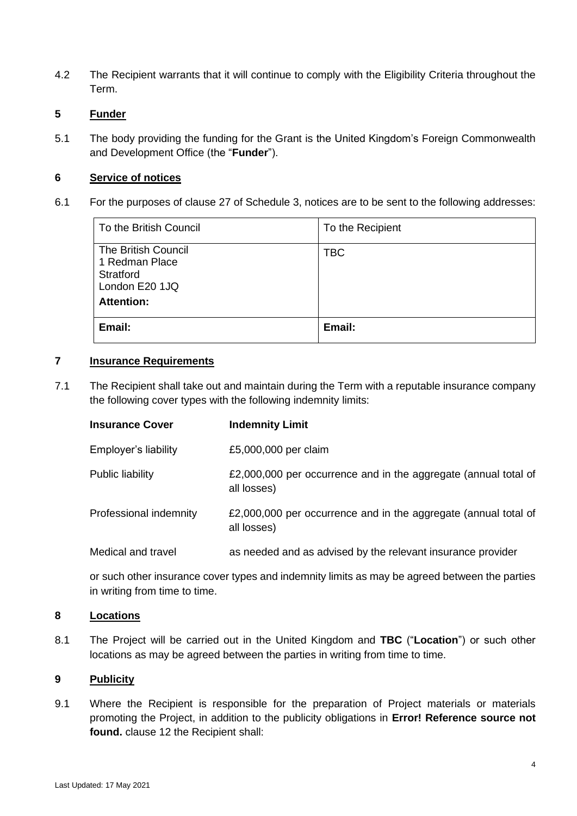4.2 The Recipient warrants that it will continue to comply with the Eligibility Criteria throughout the Term.

# **5 Funder**

5.1 The body providing the funding for the Grant is the United Kingdom's Foreign Commonwealth and Development Office (the "**Funder**").

#### **6 Service of notices**

<span id="page-3-0"></span>6.1 For the purposes of clause [27](#page-21-0) of Schedule 3, notices are to be sent to the following addresses:

| To the British Council                                                                           | To the Recipient |
|--------------------------------------------------------------------------------------------------|------------------|
| <b>The British Council</b><br>1 Redman Place<br>Stratford<br>London E20 1JQ<br><b>Attention:</b> | <b>TBC</b>       |
| Email:                                                                                           | Email:           |

#### **7 Insurance Requirements**

7.1 The Recipient shall take out and maintain during the Term with a reputable insurance company the following cover types with the following indemnity limits:

| <b>Insurance Cover</b> | <b>Indemnity Limit</b>                                                         |
|------------------------|--------------------------------------------------------------------------------|
| Employer's liability   | £5,000,000 per claim                                                           |
| Public liability       | £2,000,000 per occurrence and in the aggregate (annual total of<br>all losses) |
| Professional indemnity | £2,000,000 per occurrence and in the aggregate (annual total of<br>all losses) |
| Medical and travel     | as needed and as advised by the relevant insurance provider                    |

or such other insurance cover types and indemnity limits as may be agreed between the parties in writing from time to time.

#### **8 Locations**

8.1 The Project will be carried out in the United Kingdom and **TBC** ("**Location**") or such other locations as may be agreed between the parties in writing from time to time.

#### **9 Publicity**

9.1 Where the Recipient is responsible for the preparation of Project materials or materials promoting the Project, in addition to the publicity obligations in **Error! Reference source not found.** clause 12 the Recipient shall: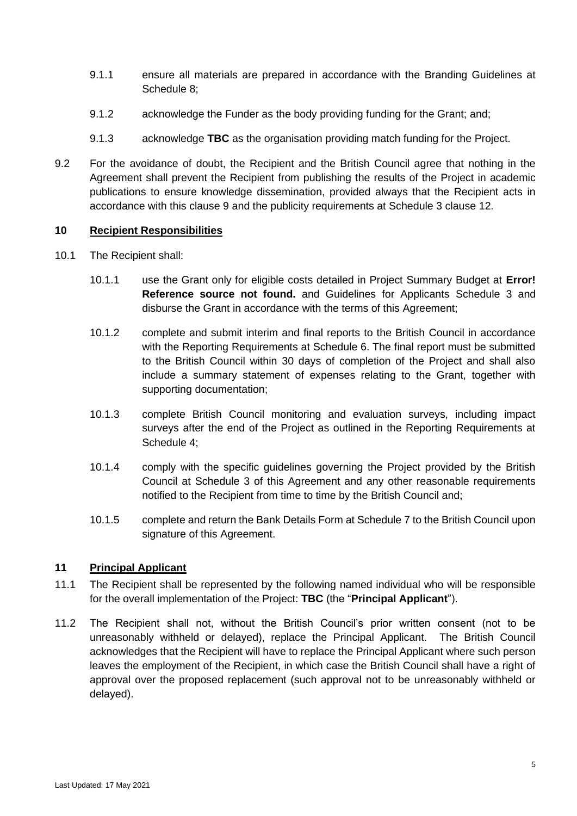- 9.1.1 ensure all materials are prepared in accordance with the Branding Guidelines at Schedule 8;
- 9.1.2 acknowledge the Funder as the body providing funding for the Grant; and;
- 9.1.3 acknowledge **TBC** as the organisation providing match funding for the Project.
- 9.2 For the avoidance of doubt, the Recipient and the British Council agree that nothing in the Agreement shall prevent the Recipient from publishing the results of the Project in academic publications to ensure knowledge dissemination, provided always that the Recipient acts in accordance with this clause 9 and the publicity requirements at Schedule 3 clause 12.

#### **10 Recipient Responsibilities**

- 10.1 The Recipient shall:
	- 10.1.1 use the Grant only for eligible costs detailed in Project Summary Budget at **Error! Reference source not found.** and Guidelines for Applicants [Schedule 3](#page-23-0) and disburse the Grant in accordance with the terms of this Agreement;
	- 10.1.2 complete and submit interim and final reports to the British Council in accordance with the Reporting Requirements at Schedule 6. The final report must be submitted to the British Council within 30 days of completion of the Project and shall also include a summary statement of expenses relating to the Grant, together with supporting documentation;
	- 10.1.3 complete British Council monitoring and evaluation surveys, including impact surveys after the end of the Project as outlined in the Reporting Requirements at [Schedule 4;](#page-24-0)
	- 10.1.4 comply with the specific guidelines governing the Project provided by the British Council at [Schedule 3](#page-23-0) of this Agreement and any other reasonable requirements notified to the Recipient from time to time by the British Council and;
	- 10.1.5 complete and return the Bank Details Form at Schedule 7 to the British Council upon signature of this Agreement.

#### **11 Principal Applicant**

- 11.1 The Recipient shall be represented by the following named individual who will be responsible for the overall implementation of the Project: **TBC** (the "**Principal Applicant**").
- 11.2 The Recipient shall not, without the British Council's prior written consent (not to be unreasonably withheld or delayed), replace the Principal Applicant. The British Council acknowledges that the Recipient will have to replace the Principal Applicant where such person leaves the employment of the Recipient, in which case the British Council shall have a right of approval over the proposed replacement (such approval not to be unreasonably withheld or delayed).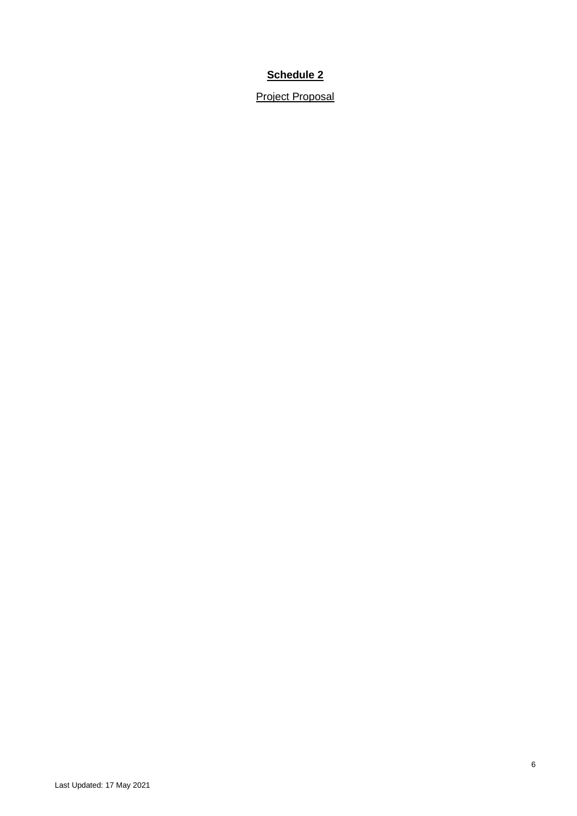Project Proposal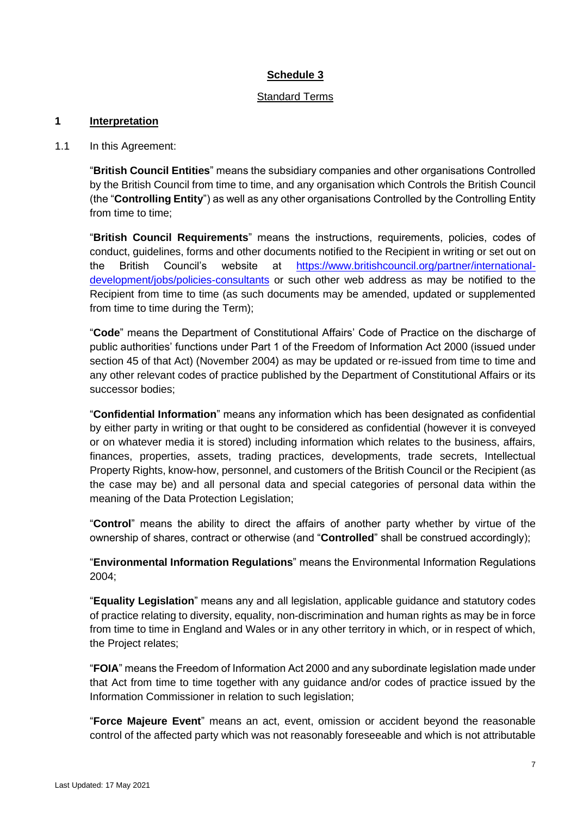#### Standard Terms

#### **1 Interpretation**

1.1 In this Agreement:

"**British Council Entities**" means the subsidiary companies and other organisations Controlled by the British Council from time to time, and any organisation which Controls the British Council (the "**Controlling Entity**") as well as any other organisations Controlled by the Controlling Entity from time to time;

"**British Council Requirements**" means the instructions, requirements, policies, codes of conduct, guidelines, forms and other documents notified to the Recipient in writing or set out on the British Council's website at [https://www.britishcouncil.org/partner/international](https://www.britishcouncil.org/partner/international-development/jobs/policies-consultants)[development/jobs/policies-consultants](https://www.britishcouncil.org/partner/international-development/jobs/policies-consultants) or such other web address as may be notified to the Recipient from time to time (as such documents may be amended, updated or supplemented from time to time during the Term);

"**Code**" means the Department of Constitutional Affairs' Code of Practice on the discharge of public authorities' functions under Part 1 of the Freedom of Information Act 2000 (issued under section 45 of that Act) (November 2004) as may be updated or re-issued from time to time and any other relevant codes of practice published by the Department of Constitutional Affairs or its successor bodies;

"**Confidential Information**" means any information which has been designated as confidential by either party in writing or that ought to be considered as confidential (however it is conveyed or on whatever media it is stored) including information which relates to the business, affairs, finances, properties, assets, trading practices, developments, trade secrets, Intellectual Property Rights, know-how, personnel, and customers of the British Council or the Recipient (as the case may be) and all personal data and special categories of personal data within the meaning of the Data Protection Legislation;

"**Control**" means the ability to direct the affairs of another party whether by virtue of the ownership of shares, contract or otherwise (and "**Controlled**" shall be construed accordingly);

"**Environmental Information Regulations**" means the Environmental Information Regulations 2004;

"**Equality Legislation**" means any and all legislation, applicable guidance and statutory codes of practice relating to diversity, equality, non-discrimination and human rights as may be in force from time to time in England and Wales or in any other territory in which, or in respect of which, the Project relates;

"**FOIA**" means the Freedom of Information Act 2000 and any subordinate legislation made under that Act from time to time together with any guidance and/or codes of practice issued by the Information Commissioner in relation to such legislation;

"**Force Majeure Event**" means an act, event, omission or accident beyond the reasonable control of the affected party which was not reasonably foreseeable and which is not attributable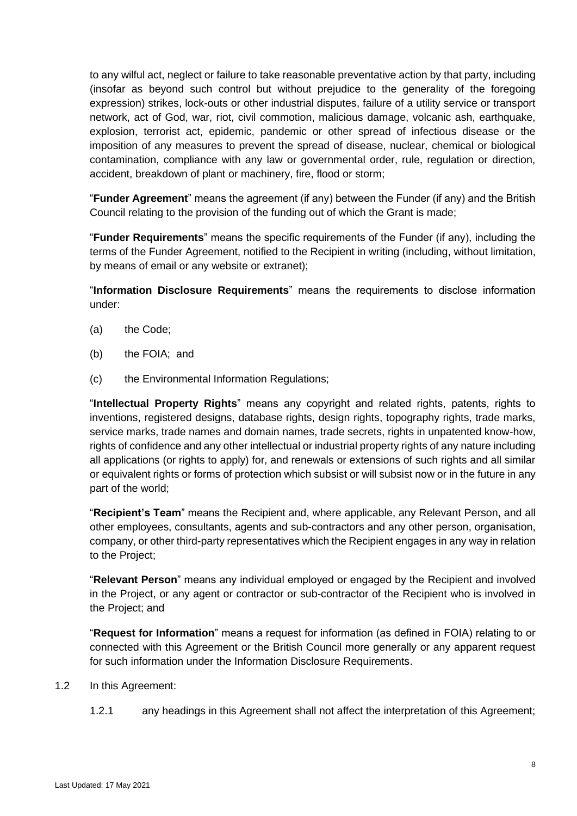to any wilful act, neglect or failure to take reasonable preventative action by that party, including (insofar as beyond such control but without prejudice to the generality of the foregoing expression) strikes, lock-outs or other industrial disputes, failure of a utility service or transport network, act of God, war, riot, civil commotion, malicious damage, volcanic ash, earthquake, explosion, terrorist act, epidemic, pandemic or other spread of infectious disease or the imposition of any measures to prevent the spread of disease, nuclear, chemical or biological contamination, compliance with any law or governmental order, rule, regulation or direction, accident, breakdown of plant or machinery, fire, flood or storm;

"**Funder Agreement**" means the agreement (if any) between the Funder (if any) and the British Council relating to the provision of the funding out of which the Grant is made;

"**Funder Requirements**" means the specific requirements of the Funder (if any), including the terms of the Funder Agreement, notified to the Recipient in writing (including, without limitation, by means of email or any website or extranet);

"**Information Disclosure Requirements**" means the requirements to disclose information under:

- (a) the Code;
- (b) the FOIA; and
- (c) the Environmental Information Regulations;

"**Intellectual Property Rights**" means any copyright and related rights, patents, rights to inventions, registered designs, database rights, design rights, topography rights, trade marks, service marks, trade names and domain names, trade secrets, rights in unpatented know-how, rights of confidence and any other intellectual or industrial property rights of any nature including all applications (or rights to apply) for, and renewals or extensions of such rights and all similar or equivalent rights or forms of protection which subsist or will subsist now or in the future in any part of the world;

"**Recipient's Team**" means the Recipient and, where applicable, any Relevant Person, and all other employees, consultants, agents and sub-contractors and any other person, organisation, company, or other third-party representatives which the Recipient engages in any way in relation to the Project;

"**Relevant Person**" means any individual employed or engaged by the Recipient and involved in the Project, or any agent or contractor or sub-contractor of the Recipient who is involved in the Project; and

"**Request for Information**" means a request for information (as defined in FOIA) relating to or connected with this Agreement or the British Council more generally or any apparent request for such information under the Information Disclosure Requirements.

#### 1.2 In this Agreement:

1.2.1 any headings in this Agreement shall not affect the interpretation of this Agreement;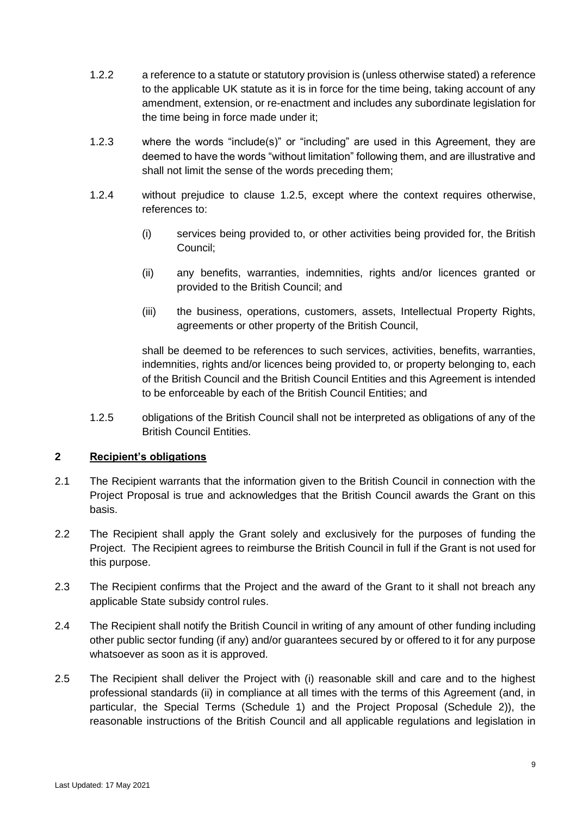- 1.2.2 a reference to a statute or statutory provision is (unless otherwise stated) a reference to the applicable UK statute as it is in force for the time being, taking account of any amendment, extension, or re-enactment and includes any subordinate legislation for the time being in force made under it;
- 1.2.3 where the words "include(s)" or "including" are used in this Agreement, they are deemed to have the words "without limitation" following them, and are illustrative and shall not limit the sense of the words preceding them;
- <span id="page-8-1"></span>1.2.4 without prejudice to clause [1.2.5,](#page-8-0) except where the context requires otherwise, references to:
	- (i) services being provided to, or other activities being provided for, the British Council;
	- (ii) any benefits, warranties, indemnities, rights and/or licences granted or provided to the British Council; and
	- (iii) the business, operations, customers, assets, Intellectual Property Rights, agreements or other property of the British Council,

shall be deemed to be references to such services, activities, benefits, warranties, indemnities, rights and/or licences being provided to, or property belonging to, each of the British Council and the British Council Entities and this Agreement is intended to be enforceable by each of the British Council Entities; and

<span id="page-8-0"></span>1.2.5 obligations of the British Council shall not be interpreted as obligations of any of the British Council Entities.

#### **2 Recipient's obligations**

- 2.1 The Recipient warrants that the information given to the British Council in connection with the Project Proposal is true and acknowledges that the British Council awards the Grant on this basis.
- 2.2 The Recipient shall apply the Grant solely and exclusively for the purposes of funding the Project. The Recipient agrees to reimburse the British Council in full if the Grant is not used for this purpose.
- 2.3 The Recipient confirms that the Project and the award of the Grant to it shall not breach any applicable State subsidy control rules.
- 2.4 The Recipient shall notify the British Council in writing of any amount of other funding including other public sector funding (if any) and/or guarantees secured by or offered to it for any purpose whatsoever as soon as it is approved.
- 2.5 The Recipient shall deliver the Project with (i) reasonable skill and care and to the highest professional standards (ii) in compliance at all times with the terms of this Agreement (and, in particular, the Special Terms (Schedule 1) and the Project Proposal (Schedule 2)), the reasonable instructions of the British Council and all applicable regulations and legislation in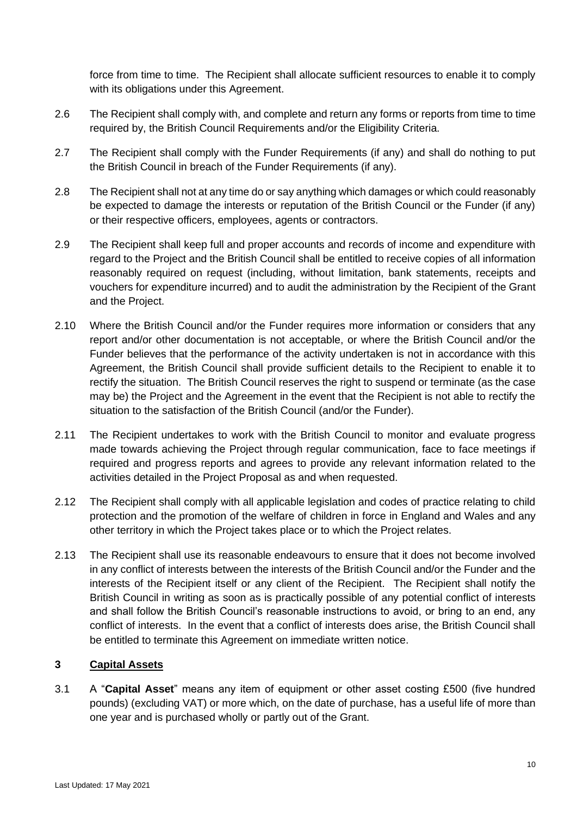force from time to time. The Recipient shall allocate sufficient resources to enable it to comply with its obligations under this Agreement.

- 2.6 The Recipient shall comply with, and complete and return any forms or reports from time to time required by, the British Council Requirements and/or the Eligibility Criteria.
- 2.7 The Recipient shall comply with the Funder Requirements (if any) and shall do nothing to put the British Council in breach of the Funder Requirements (if any).
- 2.8 The Recipient shall not at any time do or say anything which damages or which could reasonably be expected to damage the interests or reputation of the British Council or the Funder (if any) or their respective officers, employees, agents or contractors.
- 2.9 The Recipient shall keep full and proper accounts and records of income and expenditure with regard to the Project and the British Council shall be entitled to receive copies of all information reasonably required on request (including, without limitation, bank statements, receipts and vouchers for expenditure incurred) and to audit the administration by the Recipient of the Grant and the Project.
- 2.10 Where the British Council and/or the Funder requires more information or considers that any report and/or other documentation is not acceptable, or where the British Council and/or the Funder believes that the performance of the activity undertaken is not in accordance with this Agreement, the British Council shall provide sufficient details to the Recipient to enable it to rectify the situation. The British Council reserves the right to suspend or terminate (as the case may be) the Project and the Agreement in the event that the Recipient is not able to rectify the situation to the satisfaction of the British Council (and/or the Funder).
- 2.11 The Recipient undertakes to work with the British Council to monitor and evaluate progress made towards achieving the Project through regular communication, face to face meetings if required and progress reports and agrees to provide any relevant information related to the activities detailed in the Project Proposal as and when requested.
- 2.12 The Recipient shall comply with all applicable legislation and codes of practice relating to child protection and the promotion of the welfare of children in force in England and Wales and any other territory in which the Project takes place or to which the Project relates.
- 2.13 The Recipient shall use its reasonable endeavours to ensure that it does not become involved in any conflict of interests between the interests of the British Council and/or the Funder and the interests of the Recipient itself or any client of the Recipient. The Recipient shall notify the British Council in writing as soon as is practically possible of any potential conflict of interests and shall follow the British Council's reasonable instructions to avoid, or bring to an end, any conflict of interests. In the event that a conflict of interests does arise, the British Council shall be entitled to terminate this Agreement on immediate written notice.

# **3 Capital Assets**

3.1 A "**Capital Asset**" means any item of equipment or other asset costing £500 (five hundred pounds) (excluding VAT) or more which, on the date of purchase, has a useful life of more than one year and is purchased wholly or partly out of the Grant.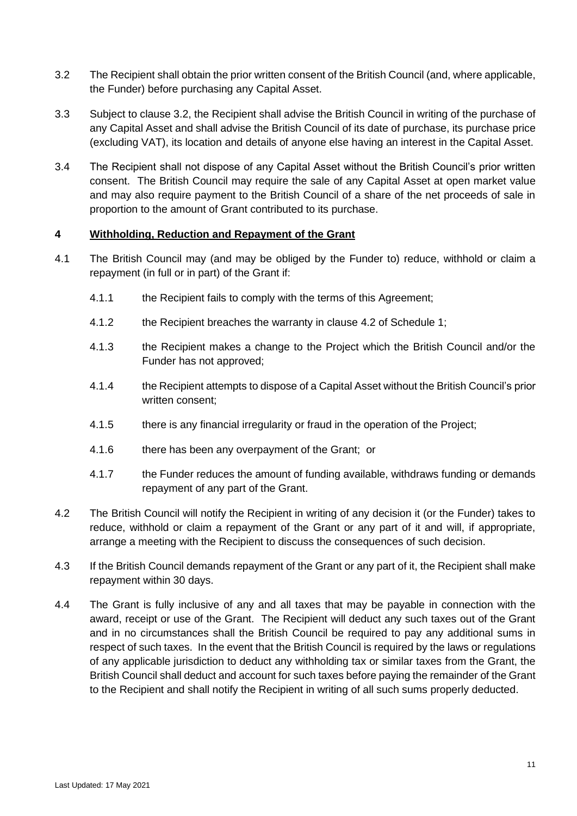- <span id="page-10-0"></span>3.2 The Recipient shall obtain the prior written consent of the British Council (and, where applicable, the Funder) before purchasing any Capital Asset.
- 3.3 Subject to clause [3.2,](#page-10-0) the Recipient shall advise the British Council in writing of the purchase of any Capital Asset and shall advise the British Council of its date of purchase, its purchase price (excluding VAT), its location and details of anyone else having an interest in the Capital Asset.
- 3.4 The Recipient shall not dispose of any Capital Asset without the British Council's prior written consent. The British Council may require the sale of any Capital Asset at open market value and may also require payment to the British Council of a share of the net proceeds of sale in proportion to the amount of Grant contributed to its purchase.

### **4 Withholding, Reduction and Repayment of the Grant**

- 4.1 The British Council may (and may be obliged by the Funder to) reduce, withhold or claim a repayment (in full or in part) of the Grant if:
	- 4.1.1 the Recipient fails to comply with the terms of this Agreement;
	- 4.1.2 the Recipient breaches the warranty in clause [4.2](#page-10-1) of Schedule 1;
	- 4.1.3 the Recipient makes a change to the Project which the British Council and/or the Funder has not approved;
	- 4.1.4 the Recipient attempts to dispose of a Capital Asset without the British Council's prior written consent;
	- 4.1.5 there is any financial irregularity or fraud in the operation of the Project;
	- 4.1.6 there has been any overpayment of the Grant; or
	- 4.1.7 the Funder reduces the amount of funding available, withdraws funding or demands repayment of any part of the Grant.
- <span id="page-10-1"></span>4.2 The British Council will notify the Recipient in writing of any decision it (or the Funder) takes to reduce, withhold or claim a repayment of the Grant or any part of it and will, if appropriate, arrange a meeting with the Recipient to discuss the consequences of such decision.
- 4.3 If the British Council demands repayment of the Grant or any part of it, the Recipient shall make repayment within 30 days.
- 4.4 The Grant is fully inclusive of any and all taxes that may be payable in connection with the award, receipt or use of the Grant. The Recipient will deduct any such taxes out of the Grant and in no circumstances shall the British Council be required to pay any additional sums in respect of such taxes. In the event that the British Council is required by the laws or regulations of any applicable jurisdiction to deduct any withholding tax or similar taxes from the Grant, the British Council shall deduct and account for such taxes before paying the remainder of the Grant to the Recipient and shall notify the Recipient in writing of all such sums properly deducted.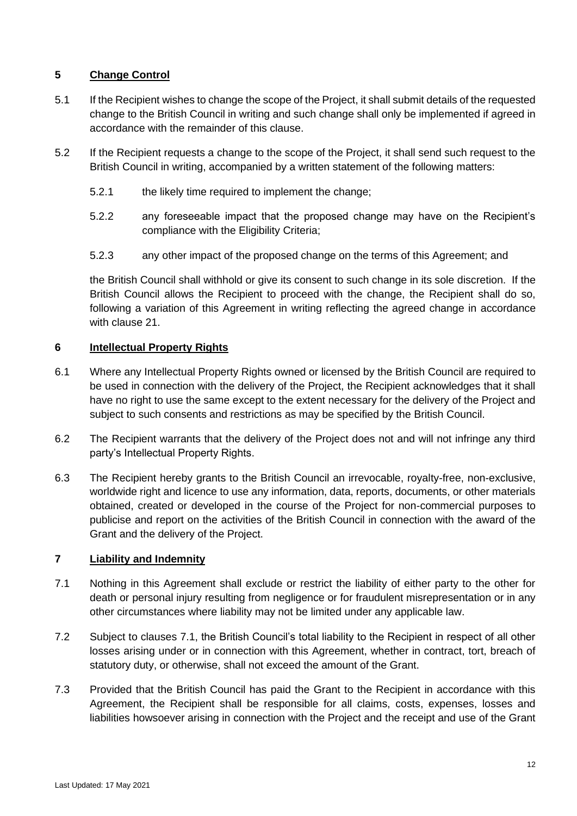# **5 Change Control**

- 5.1 If the Recipient wishes to change the scope of the Project, it shall submit details of the requested change to the British Council in writing and such change shall only be implemented if agreed in accordance with the remainder of this clause.
- 5.2 If the Recipient requests a change to the scope of the Project, it shall send such request to the British Council in writing, accompanied by a written statement of the following matters:
	- 5.2.1 the likely time required to implement the change;
	- 5.2.2 any foreseeable impact that the proposed change may have on the Recipient's compliance with the Eligibility Criteria;
	- 5.2.3 any other impact of the proposed change on the terms of this Agreement; and

the British Council shall withhold or give its consent to such change in its sole discretion. If the British Council allows the Recipient to proceed with the change, the Recipient shall do so, following a variation of this Agreement in writing reflecting the agreed change in accordance with clause [21.](#page-20-0)

### **6 Intellectual Property Rights**

- 6.1 Where any Intellectual Property Rights owned or licensed by the British Council are required to be used in connection with the delivery of the Project, the Recipient acknowledges that it shall have no right to use the same except to the extent necessary for the delivery of the Project and subject to such consents and restrictions as may be specified by the British Council.
- 6.2 The Recipient warrants that the delivery of the Project does not and will not infringe any third party's Intellectual Property Rights.
- 6.3 The Recipient hereby grants to the British Council an irrevocable, royalty-free, non-exclusive, worldwide right and licence to use any information, data, reports, documents, or other materials obtained, created or developed in the course of the Project for non-commercial purposes to publicise and report on the activities of the British Council in connection with the award of the Grant and the delivery of the Project.

#### <span id="page-11-1"></span>**7 Liability and Indemnity**

- <span id="page-11-0"></span>7.1 Nothing in this Agreement shall exclude or restrict the liability of either party to the other for death or personal injury resulting from negligence or for fraudulent misrepresentation or in any other circumstances where liability may not be limited under any applicable law.
- 7.2 Subject to clauses [7.1,](#page-11-0) the British Council's total liability to the Recipient in respect of all other losses arising under or in connection with this Agreement, whether in contract, tort, breach of statutory duty, or otherwise, shall not exceed the amount of the Grant.
- 7.3 Provided that the British Council has paid the Grant to the Recipient in accordance with this Agreement, the Recipient shall be responsible for all claims, costs, expenses, losses and liabilities howsoever arising in connection with the Project and the receipt and use of the Grant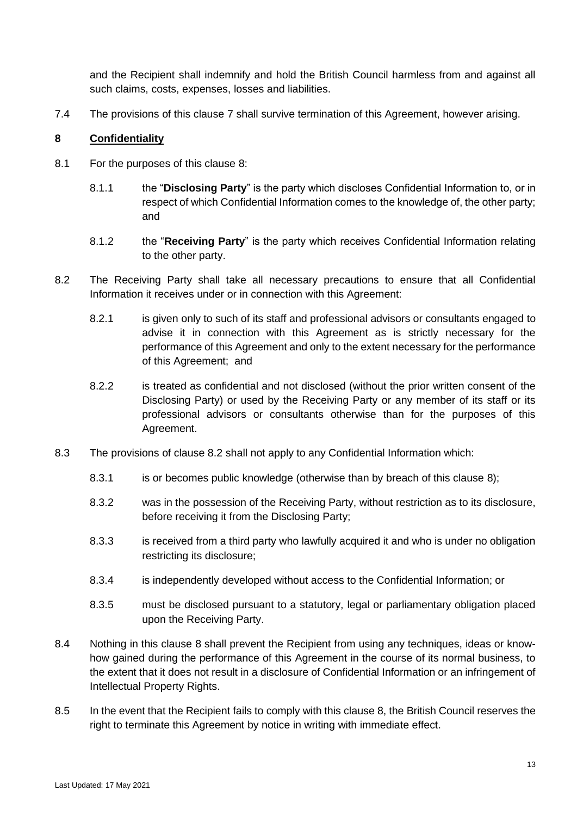and the Recipient shall indemnify and hold the British Council harmless from and against all such claims, costs, expenses, losses and liabilities.

7.4 The provisions of this clause [7](#page-11-1) shall survive termination of this Agreement, however arising.

#### <span id="page-12-0"></span>**8 Confidentiality**

- 8.1 For the purposes of this clause [8:](#page-12-0)
	- 8.1.1 the "**Disclosing Party**" is the party which discloses Confidential Information to, or in respect of which Confidential Information comes to the knowledge of, the other party; and
	- 8.1.2 the "**Receiving Party**" is the party which receives Confidential Information relating to the other party.
- <span id="page-12-1"></span>8.2 The Receiving Party shall take all necessary precautions to ensure that all Confidential Information it receives under or in connection with this Agreement:
	- 8.2.1 is given only to such of its staff and professional advisors or consultants engaged to advise it in connection with this Agreement as is strictly necessary for the performance of this Agreement and only to the extent necessary for the performance of this Agreement; and
	- 8.2.2 is treated as confidential and not disclosed (without the prior written consent of the Disclosing Party) or used by the Receiving Party or any member of its staff or its professional advisors or consultants otherwise than for the purposes of this Agreement.
- 8.3 The provisions of clause [8.2](#page-12-1) shall not apply to any Confidential Information which:
	- 8.3.1 is or becomes public knowledge (otherwise than by breach of this clause [8\)](#page-12-0);
	- 8.3.2 was in the possession of the Receiving Party, without restriction as to its disclosure, before receiving it from the Disclosing Party;
	- 8.3.3 is received from a third party who lawfully acquired it and who is under no obligation restricting its disclosure;
	- 8.3.4 is independently developed without access to the Confidential Information; or
	- 8.3.5 must be disclosed pursuant to a statutory, legal or parliamentary obligation placed upon the Receiving Party.
- 8.4 Nothing in this clause [8](#page-12-0) shall prevent the Recipient from using any techniques, ideas or knowhow gained during the performance of this Agreement in the course of its normal business, to the extent that it does not result in a disclosure of Confidential Information or an infringement of Intellectual Property Rights.
- 8.5 In the event that the Recipient fails to comply with this clause [8,](#page-12-0) the British Council reserves the right to terminate this Agreement by notice in writing with immediate effect.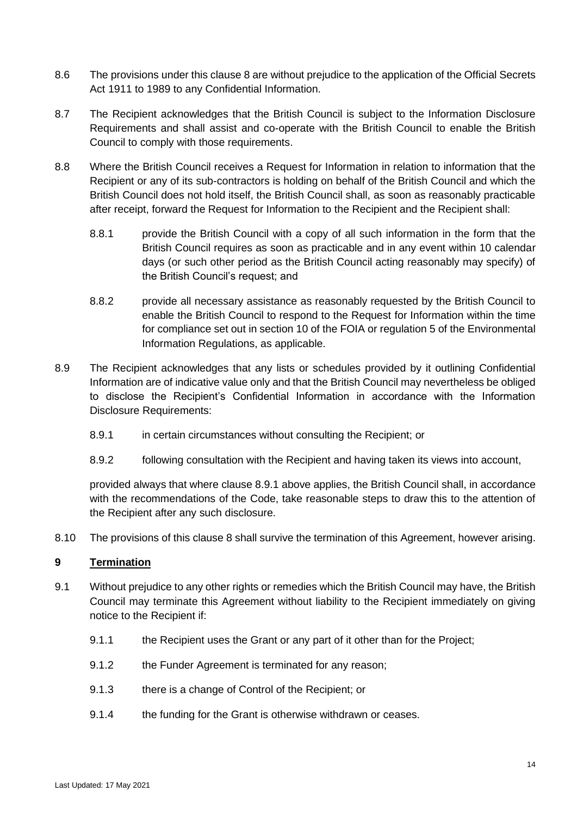- 8.6 The provisions under this clause [8](#page-12-0) are without prejudice to the application of the Official Secrets Act 1911 to 1989 to any Confidential Information.
- 8.7 The Recipient acknowledges that the British Council is subject to the Information Disclosure Requirements and shall assist and co-operate with the British Council to enable the British Council to comply with those requirements.
- 8.8 Where the British Council receives a Request for Information in relation to information that the Recipient or any of its sub-contractors is holding on behalf of the British Council and which the British Council does not hold itself, the British Council shall, as soon as reasonably practicable after receipt, forward the Request for Information to the Recipient and the Recipient shall:
	- 8.8.1 provide the British Council with a copy of all such information in the form that the British Council requires as soon as practicable and in any event within 10 calendar days (or such other period as the British Council acting reasonably may specify) of the British Council's request; and
	- 8.8.2 provide all necessary assistance as reasonably requested by the British Council to enable the British Council to respond to the Request for Information within the time for compliance set out in section 10 of the FOIA or regulation 5 of the Environmental Information Regulations, as applicable.
- <span id="page-13-0"></span>8.9 The Recipient acknowledges that any lists or schedules provided by it outlining Confidential Information are of indicative value only and that the British Council may nevertheless be obliged to disclose the Recipient's Confidential Information in accordance with the Information Disclosure Requirements:
	- 8.9.1 in certain circumstances without consulting the Recipient; or
	- 8.9.2 following consultation with the Recipient and having taken its views into account,

provided always that where clause [8.9.1](#page-13-0) above applies, the British Council shall, in accordance with the recommendations of the Code, take reasonable steps to draw this to the attention of the Recipient after any such disclosure.

8.10 The provisions of this clause [8](#page-12-0) shall survive the termination of this Agreement, however arising.

# **9 Termination**

- 9.1 Without prejudice to any other rights or remedies which the British Council may have, the British Council may terminate this Agreement without liability to the Recipient immediately on giving notice to the Recipient if:
	- 9.1.1 the Recipient uses the Grant or any part of it other than for the Project;
	- 9.1.2 the Funder Agreement is terminated for any reason;
	- 9.1.3 there is a change of Control of the Recipient; or
	- 9.1.4 the funding for the Grant is otherwise withdrawn or ceases.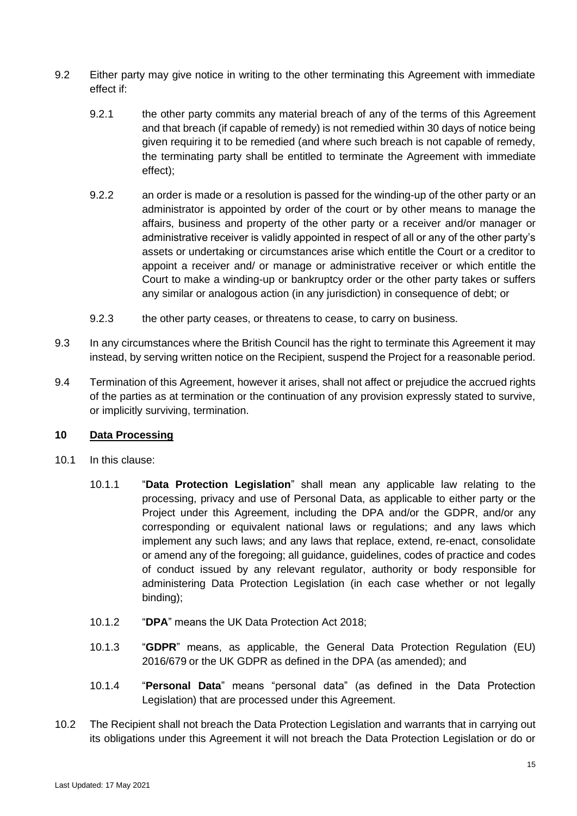- 9.2 Either party may give notice in writing to the other terminating this Agreement with immediate effect if:
	- 9.2.1 the other party commits any material breach of any of the terms of this Agreement and that breach (if capable of remedy) is not remedied within 30 days of notice being given requiring it to be remedied (and where such breach is not capable of remedy, the terminating party shall be entitled to terminate the Agreement with immediate effect);
	- 9.2.2 an order is made or a resolution is passed for the winding-up of the other party or an administrator is appointed by order of the court or by other means to manage the affairs, business and property of the other party or a receiver and/or manager or administrative receiver is validly appointed in respect of all or any of the other party's assets or undertaking or circumstances arise which entitle the Court or a creditor to appoint a receiver and/ or manage or administrative receiver or which entitle the Court to make a winding-up or bankruptcy order or the other party takes or suffers any similar or analogous action (in any jurisdiction) in consequence of debt; or
	- 9.2.3 the other party ceases, or threatens to cease, to carry on business.
- 9.3 In any circumstances where the British Council has the right to terminate this Agreement it may instead, by serving written notice on the Recipient, suspend the Project for a reasonable period.
- 9.4 Termination of this Agreement, however it arises, shall not affect or prejudice the accrued rights of the parties as at termination or the continuation of any provision expressly stated to survive, or implicitly surviving, termination.

#### **10 Data Processing**

- 10.1 In this clause:
	- 10.1.1 "**Data Protection Legislation**" shall mean any applicable law relating to the processing, privacy and use of Personal Data, as applicable to either party or the Project under this Agreement, including the DPA and/or the GDPR, and/or any corresponding or equivalent national laws or regulations; and any laws which implement any such laws; and any laws that replace, extend, re-enact, consolidate or amend any of the foregoing; all guidance, guidelines, codes of practice and codes of conduct issued by any relevant regulator, authority or body responsible for administering Data Protection Legislation (in each case whether or not legally binding);
	- 10.1.2 "**DPA**" means the UK Data Protection Act 2018;
	- 10.1.3 "**GDPR**" means, as applicable, the General Data Protection Regulation (EU) 2016/679 or the UK GDPR as defined in the DPA (as amended); and
	- 10.1.4 "**Personal Data**" means "personal data" (as defined in the Data Protection Legislation) that are processed under this Agreement.
- 10.2 The Recipient shall not breach the Data Protection Legislation and warrants that in carrying out its obligations under this Agreement it will not breach the Data Protection Legislation or do or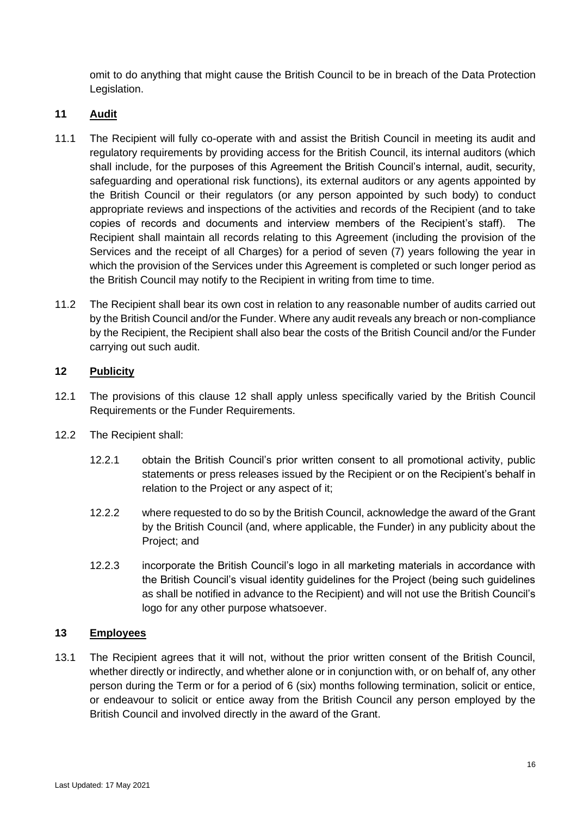omit to do anything that might cause the British Council to be in breach of the Data Protection Legislation.

# **11 Audit**

- 11.1 The Recipient will fully co-operate with and assist the British Council in meeting its audit and regulatory requirements by providing access for the British Council, its internal auditors (which shall include, for the purposes of this Agreement the British Council's internal, audit, security, safeguarding and operational risk functions), its external auditors or any agents appointed by the British Council or their regulators (or any person appointed by such body) to conduct appropriate reviews and inspections of the activities and records of the Recipient (and to take copies of records and documents and interview members of the Recipient's staff). The Recipient shall maintain all records relating to this Agreement (including the provision of the Services and the receipt of all Charges) for a period of seven (7) years following the year in which the provision of the Services under this Agreement is completed or such longer period as the British Council may notify to the Recipient in writing from time to time.
- 11.2 The Recipient shall bear its own cost in relation to any reasonable number of audits carried out by the British Council and/or the Funder. Where any audit reveals any breach or non-compliance by the Recipient, the Recipient shall also bear the costs of the British Council and/or the Funder carrying out such audit.

#### <span id="page-15-0"></span>**12 Publicity**

- 12.1 The provisions of this clause [12](#page-15-0) shall apply unless specifically varied by the British Council Requirements or the Funder Requirements.
- 12.2 The Recipient shall:
	- 12.2.1 obtain the British Council's prior written consent to all promotional activity, public statements or press releases issued by the Recipient or on the Recipient's behalf in relation to the Project or any aspect of it;
	- 12.2.2 where requested to do so by the British Council, acknowledge the award of the Grant by the British Council (and, where applicable, the Funder) in any publicity about the Project; and
	- 12.2.3 incorporate the British Council's logo in all marketing materials in accordance with the British Council's visual identity guidelines for the Project (being such guidelines as shall be notified in advance to the Recipient) and will not use the British Council's logo for any other purpose whatsoever.

### **13 Employees**

13.1 The Recipient agrees that it will not, without the prior written consent of the British Council, whether directly or indirectly, and whether alone or in conjunction with, or on behalf of, any other person during the Term or for a period of 6 (six) months following termination, solicit or entice, or endeavour to solicit or entice away from the British Council any person employed by the British Council and involved directly in the award of the Grant.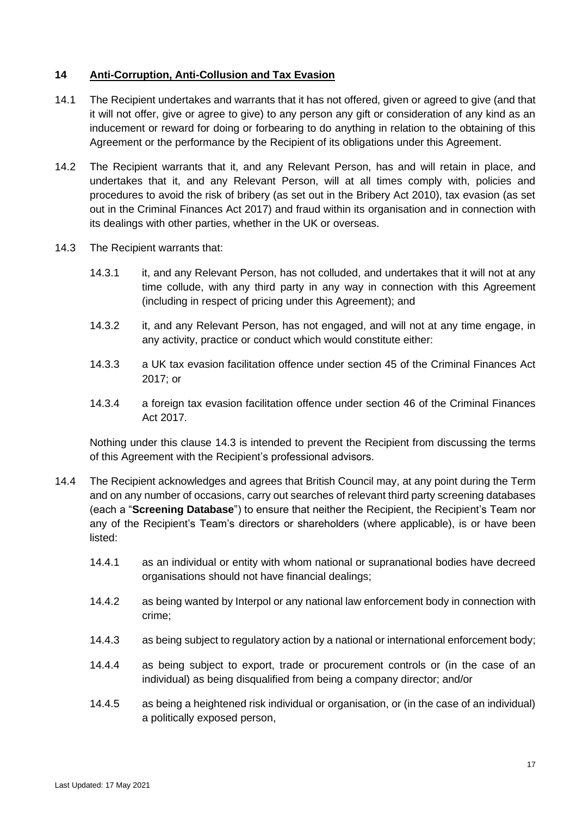#### <span id="page-16-4"></span>**14 Anti-Corruption, Anti-Collusion and Tax Evasion**

- <span id="page-16-2"></span>14.1 The Recipient undertakes and warrants that it has not offered, given or agreed to give (and that it will not offer, give or agree to give) to any person any gift or consideration of any kind as an inducement or reward for doing or forbearing to do anything in relation to the obtaining of this Agreement or the performance by the Recipient of its obligations under this Agreement.
- <span id="page-16-3"></span>14.2 The Recipient warrants that it, and any Relevant Person, has and will retain in place, and undertakes that it, and any Relevant Person, will at all times comply with, policies and procedures to avoid the risk of bribery (as set out in the Bribery Act 2010), tax evasion (as set out in the Criminal Finances Act 2017) and fraud within its organisation and in connection with its dealings with other parties, whether in the UK or overseas.
- <span id="page-16-0"></span>14.3 The Recipient warrants that:
	- 14.3.1 it, and any Relevant Person, has not colluded, and undertakes that it will not at any time collude, with any third party in any way in connection with this Agreement (including in respect of pricing under this Agreement); and
	- 14.3.2 it, and any Relevant Person, has not engaged, and will not at any time engage, in any activity, practice or conduct which would constitute either:
	- 14.3.3 a UK tax evasion facilitation offence under section 45 of the Criminal Finances Act 2017; or
	- 14.3.4 a foreign tax evasion facilitation offence under section 46 of the Criminal Finances Act 2017.

Nothing under this clause [14.3](#page-16-0) is intended to prevent the Recipient from discussing the terms of this Agreement with the Recipient's professional advisors.

- <span id="page-16-1"></span>14.4 The Recipient acknowledges and agrees that British Council may, at any point during the Term and on any number of occasions, carry out searches of relevant third party screening databases (each a "**Screening Database**") to ensure that neither the Recipient, the Recipient's Team nor any of the Recipient's Team's directors or shareholders (where applicable), is or have been listed:
	- 14.4.1 as an individual or entity with whom national or supranational bodies have decreed organisations should not have financial dealings;
	- 14.4.2 as being wanted by Interpol or any national law enforcement body in connection with crime;
	- 14.4.3 as being subject to regulatory action by a national or international enforcement body;
	- 14.4.4 as being subject to export, trade or procurement controls or (in the case of an individual) as being disqualified from being a company director; and/or
	- 14.4.5 as being a heightened risk individual or organisation, or (in the case of an individual) a politically exposed person,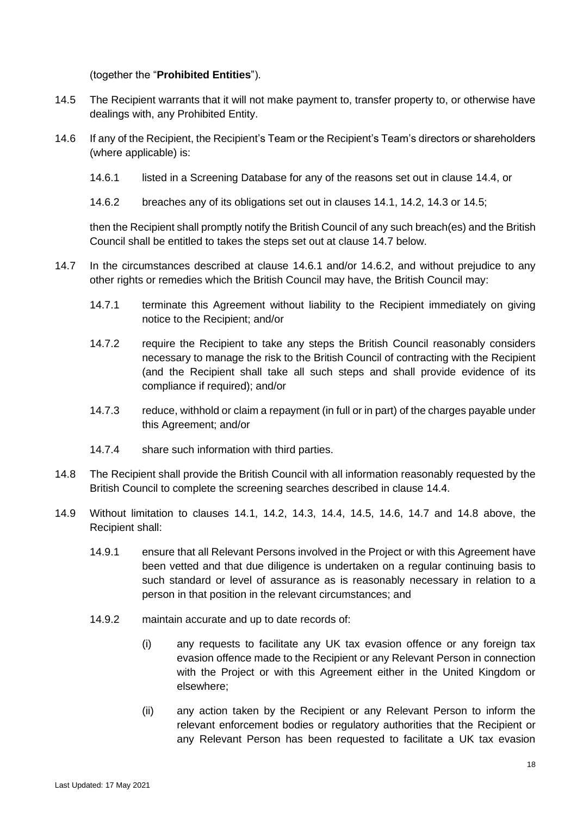#### (together the "**Prohibited Entities**").

- <span id="page-17-0"></span>14.5 The Recipient warrants that it will not make payment to, transfer property to, or otherwise have dealings with, any Prohibited Entity.
- <span id="page-17-4"></span><span id="page-17-2"></span>14.6 If any of the Recipient, the Recipient's Team or the Recipient's Team's directors or shareholders (where applicable) is:
	- 14.6.1 listed in a Screening Database for any of the reasons set out in clause [14.4,](#page-16-1) or
	- 14.6.2 breaches any of its obligations set out in clauses [14.1,](#page-16-2) [14.2,](#page-16-3) [14.3](#page-16-0) or [14.5;](#page-17-0)

<span id="page-17-3"></span>then the Recipient shall promptly notify the British Council of any such breach(es) and the British Council shall be entitled to takes the steps set out at clause [14.7](#page-17-1) below.

- <span id="page-17-1"></span>14.7 In the circumstances described at clause [14.6.1](#page-17-2) and/or [14.6.2,](#page-17-3) and without prejudice to any other rights or remedies which the British Council may have, the British Council may:
	- 14.7.1 terminate this Agreement without liability to the Recipient immediately on giving notice to the Recipient; and/or
	- 14.7.2 require the Recipient to take any steps the British Council reasonably considers necessary to manage the risk to the British Council of contracting with the Recipient (and the Recipient shall take all such steps and shall provide evidence of its compliance if required); and/or
	- 14.7.3 reduce, withhold or claim a repayment (in full or in part) of the charges payable under this Agreement; and/or
	- 14.7.4 share such information with third parties.
- <span id="page-17-5"></span>14.8 The Recipient shall provide the British Council with all information reasonably requested by the British Council to complete the screening searches described in clause [14.4.](#page-16-1)
- <span id="page-17-6"></span>14.9 Without limitation to clauses [14.1,](#page-16-2) [14.2,](#page-16-3) [14.3,](#page-16-0) [14.4,](#page-16-1) [14.5,](#page-17-0) [14.6,](#page-17-4) [14.7](#page-17-1) and [14.8](#page-17-5) above, the Recipient shall:
	- 14.9.1 ensure that all Relevant Persons involved in the Project or with this Agreement have been vetted and that due diligence is undertaken on a regular continuing basis to such standard or level of assurance as is reasonably necessary in relation to a person in that position in the relevant circumstances; and
	- 14.9.2 maintain accurate and up to date records of:
		- (i) any requests to facilitate any UK tax evasion offence or any foreign tax evasion offence made to the Recipient or any Relevant Person in connection with the Project or with this Agreement either in the United Kingdom or elsewhere;
		- (ii) any action taken by the Recipient or any Relevant Person to inform the relevant enforcement bodies or regulatory authorities that the Recipient or any Relevant Person has been requested to facilitate a UK tax evasion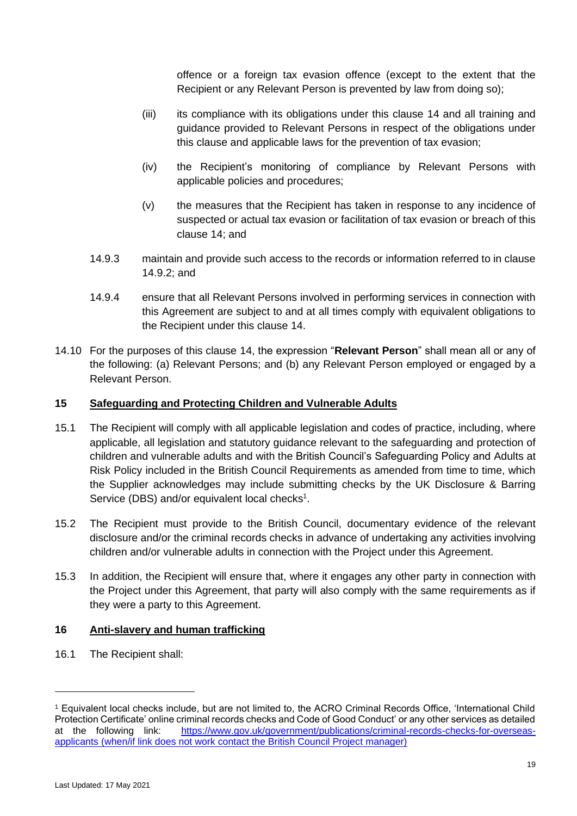offence or a foreign tax evasion offence (except to the extent that the Recipient or any Relevant Person is prevented by law from doing so);

- (iii) its compliance with its obligations under this clause [14](#page-16-4) and all training and guidance provided to Relevant Persons in respect of the obligations under this clause and applicable laws for the prevention of tax evasion;
- (iv) the Recipient's monitoring of compliance by Relevant Persons with applicable policies and procedures;
- (v) the measures that the Recipient has taken in response to any incidence of suspected or actual tax evasion or facilitation of tax evasion or breach of this clause [14;](#page-16-4) and
- 14.9.3 maintain and provide such access to the records or information referred to in clause [14.9.2;](#page-17-6) and
- 14.9.4 ensure that all Relevant Persons involved in performing services in connection with this Agreement are subject to and at all times comply with equivalent obligations to the Recipient under this clause [14.](#page-16-4)
- 14.10 For the purposes of this clause [14,](#page-16-4) the expression "**Relevant Person**" shall mean all or any of the following: (a) Relevant Persons; and (b) any Relevant Person employed or engaged by a Relevant Person.

# **15 Safeguarding and Protecting Children and Vulnerable Adults**

- 15.1 The Recipient will comply with all applicable legislation and codes of practice, including, where applicable, all legislation and statutory guidance relevant to the safeguarding and protection of children and vulnerable adults and with the British Council's Safeguarding Policy and Adults at Risk Policy included in the British Council Requirements as amended from time to time, which the Supplier acknowledges may include submitting checks by the UK Disclosure & Barring Service (DBS) and/or equivalent local checks<sup>1</sup>.
- 15.2 The Recipient must provide to the British Council, documentary evidence of the relevant disclosure and/or the criminal records checks in advance of undertaking any activities involving children and/or vulnerable adults in connection with the Project under this Agreement.
- 15.3 In addition, the Recipient will ensure that, where it engages any other party in connection with the Project under this Agreement, that party will also comply with the same requirements as if they were a party to this Agreement.

#### **16 Anti-slavery and human trafficking**

<span id="page-18-0"></span>16.1 The Recipient shall:

<sup>1</sup> Equivalent local checks include, but are not limited to, the ACRO Criminal Records Office, 'International Child Protection Certificate' online criminal records checks and Code of Good Conduct' or any other services as detailed at the following link: [https://www.gov.uk/government/publications/criminal-records-checks-for-overseas](https://www.gov.uk/government/publications/criminal-records-checks-for-overseas-applicants)[applicants](https://www.gov.uk/government/publications/criminal-records-checks-for-overseas-applicants) (when/if link does not work contact the British Council Project manager)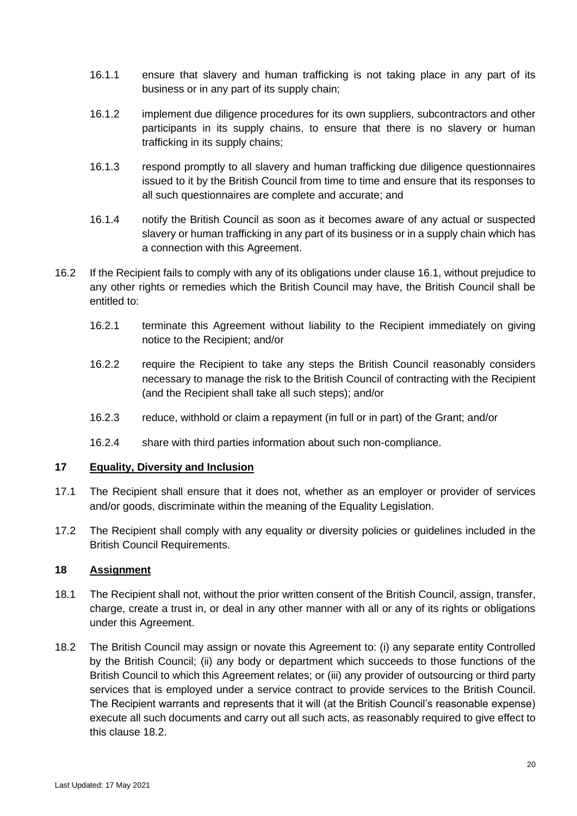- 16.1.1 ensure that slavery and human trafficking is not taking place in any part of its business or in any part of its supply chain;
- 16.1.2 implement due diligence procedures for its own suppliers, subcontractors and other participants in its supply chains, to ensure that there is no slavery or human trafficking in its supply chains;
- 16.1.3 respond promptly to all slavery and human trafficking due diligence questionnaires issued to it by the British Council from time to time and ensure that its responses to all such questionnaires are complete and accurate; and
- 16.1.4 notify the British Council as soon as it becomes aware of any actual or suspected slavery or human trafficking in any part of its business or in a supply chain which has a connection with this Agreement.
- 16.2 If the Recipient fails to comply with any of its obligations under clause [16.1,](#page-18-0) without prejudice to any other rights or remedies which the British Council may have, the British Council shall be entitled to:
	- 16.2.1 terminate this Agreement without liability to the Recipient immediately on giving notice to the Recipient; and/or
	- 16.2.2 require the Recipient to take any steps the British Council reasonably considers necessary to manage the risk to the British Council of contracting with the Recipient (and the Recipient shall take all such steps); and/or
	- 16.2.3 reduce, withhold or claim a repayment (in full or in part) of the Grant; and/or
	- 16.2.4 share with third parties information about such non-compliance.

### **17 Equality, Diversity and Inclusion**

- 17.1 The Recipient shall ensure that it does not, whether as an employer or provider of services and/or goods, discriminate within the meaning of the Equality Legislation.
- 17.2 The Recipient shall comply with any equality or diversity policies or guidelines included in the British Council Requirements.

#### <span id="page-19-1"></span>**18 Assignment**

- 18.1 The Recipient shall not, without the prior written consent of the British Council, assign, transfer, charge, create a trust in, or deal in any other manner with all or any of its rights or obligations under this Agreement.
- <span id="page-19-0"></span>18.2 The British Council may assign or novate this Agreement to: (i) any separate entity Controlled by the British Council; (ii) any body or department which succeeds to those functions of the British Council to which this Agreement relates; or (iii) any provider of outsourcing or third party services that is employed under a service contract to provide services to the British Council. The Recipient warrants and represents that it will (at the British Council's reasonable expense) execute all such documents and carry out all such acts, as reasonably required to give effect to this clause [18.2.](#page-19-0)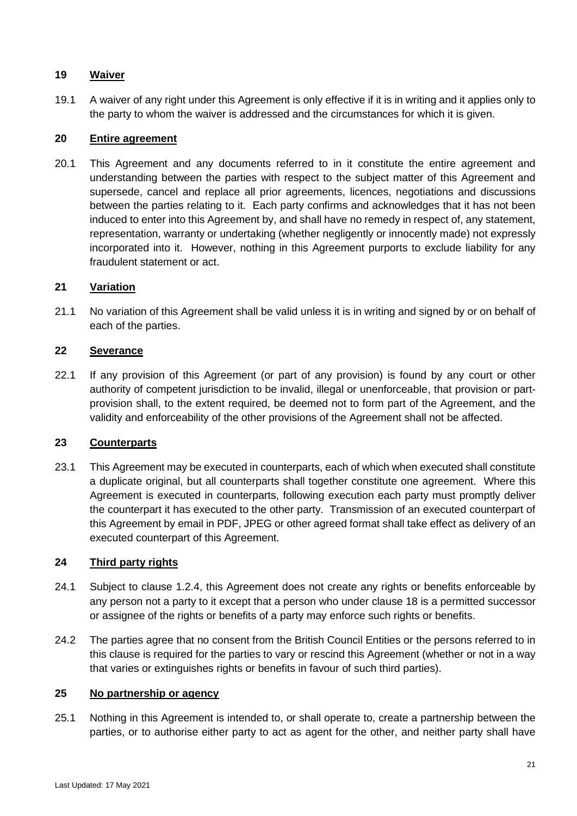# **19 Waiver**

19.1 A waiver of any right under this Agreement is only effective if it is in writing and it applies only to the party to whom the waiver is addressed and the circumstances for which it is given.

#### **20 Entire agreement**

20.1 This Agreement and any documents referred to in it constitute the entire agreement and understanding between the parties with respect to the subject matter of this Agreement and supersede, cancel and replace all prior agreements, licences, negotiations and discussions between the parties relating to it. Each party confirms and acknowledges that it has not been induced to enter into this Agreement by, and shall have no remedy in respect of, any statement, representation, warranty or undertaking (whether negligently or innocently made) not expressly incorporated into it. However, nothing in this Agreement purports to exclude liability for any fraudulent statement or act.

### <span id="page-20-0"></span>**21 Variation**

21.1 No variation of this Agreement shall be valid unless it is in writing and signed by or on behalf of each of the parties.

### **22 Severance**

22.1 If any provision of this Agreement (or part of any provision) is found by any court or other authority of competent jurisdiction to be invalid, illegal or unenforceable, that provision or partprovision shall, to the extent required, be deemed not to form part of the Agreement, and the validity and enforceability of the other provisions of the Agreement shall not be affected.

### **23 Counterparts**

23.1 This Agreement may be executed in counterparts, each of which when executed shall constitute a duplicate original, but all counterparts shall together constitute one agreement. Where this Agreement is executed in counterparts, following execution each party must promptly deliver the counterpart it has executed to the other party. Transmission of an executed counterpart of this Agreement by email in PDF, JPEG or other agreed format shall take effect as delivery of an executed counterpart of this Agreement.

# **24 Third party rights**

- 24.1 Subject to clause [1.2.4,](#page-8-1) this Agreement does not create any rights or benefits enforceable by any person not a party to it except that a person who under clause [18](#page-19-1) is a permitted successor or assignee of the rights or benefits of a party may enforce such rights or benefits.
- 24.2 The parties agree that no consent from the British Council Entities or the persons referred to in this clause is required for the parties to vary or rescind this Agreement (whether or not in a way that varies or extinguishes rights or benefits in favour of such third parties).

#### **25 No partnership or agency**

25.1 Nothing in this Agreement is intended to, or shall operate to, create a partnership between the parties, or to authorise either party to act as agent for the other, and neither party shall have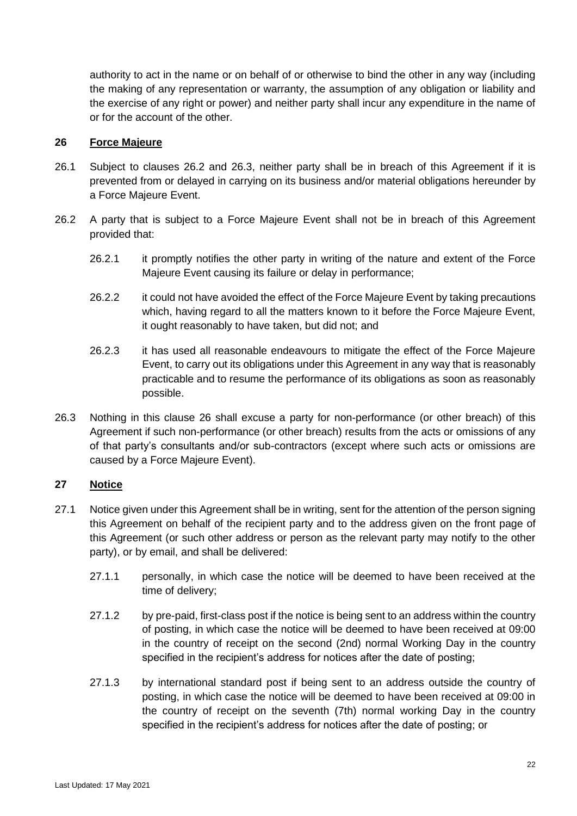authority to act in the name or on behalf of or otherwise to bind the other in any way (including the making of any representation or warranty, the assumption of any obligation or liability and the exercise of any right or power) and neither party shall incur any expenditure in the name of or for the account of the other.

#### <span id="page-21-3"></span>**26 Force Majeure**

- 26.1 Subject to clauses [26.2](#page-21-1) and [26.3,](#page-21-2) neither party shall be in breach of this Agreement if it is prevented from or delayed in carrying on its business and/or material obligations hereunder by a Force Majeure Event.
- <span id="page-21-1"></span>26.2 A party that is subject to a Force Majeure Event shall not be in breach of this Agreement provided that:
	- 26.2.1 it promptly notifies the other party in writing of the nature and extent of the Force Majeure Event causing its failure or delay in performance;
	- 26.2.2 it could not have avoided the effect of the Force Majeure Event by taking precautions which, having regard to all the matters known to it before the Force Majeure Event, it ought reasonably to have taken, but did not; and
	- 26.2.3 it has used all reasonable endeavours to mitigate the effect of the Force Majeure Event, to carry out its obligations under this Agreement in any way that is reasonably practicable and to resume the performance of its obligations as soon as reasonably possible.
- <span id="page-21-2"></span>26.3 Nothing in this clause [26](#page-21-3) shall excuse a party for non-performance (or other breach) of this Agreement if such non-performance (or other breach) results from the acts or omissions of any of that party's consultants and/or sub-contractors (except where such acts or omissions are caused by a Force Majeure Event).

#### <span id="page-21-0"></span>**27 Notice**

- <span id="page-21-5"></span><span id="page-21-4"></span>27.1 Notice given under this Agreement shall be in writing, sent for the attention of the person signing this Agreement on behalf of the recipient party and to the address given on the front page of this Agreement (or such other address or person as the relevant party may notify to the other party), or by email, and shall be delivered:
	- 27.1.1 personally, in which case the notice will be deemed to have been received at the time of delivery;
	- 27.1.2 by pre-paid, first-class post if the notice is being sent to an address within the country of posting, in which case the notice will be deemed to have been received at 09:00 in the country of receipt on the second (2nd) normal Working Day in the country specified in the recipient's address for notices after the date of posting;
	- 27.1.3 by international standard post if being sent to an address outside the country of posting, in which case the notice will be deemed to have been received at 09:00 in the country of receipt on the seventh (7th) normal working Day in the country specified in the recipient's address for notices after the date of posting; or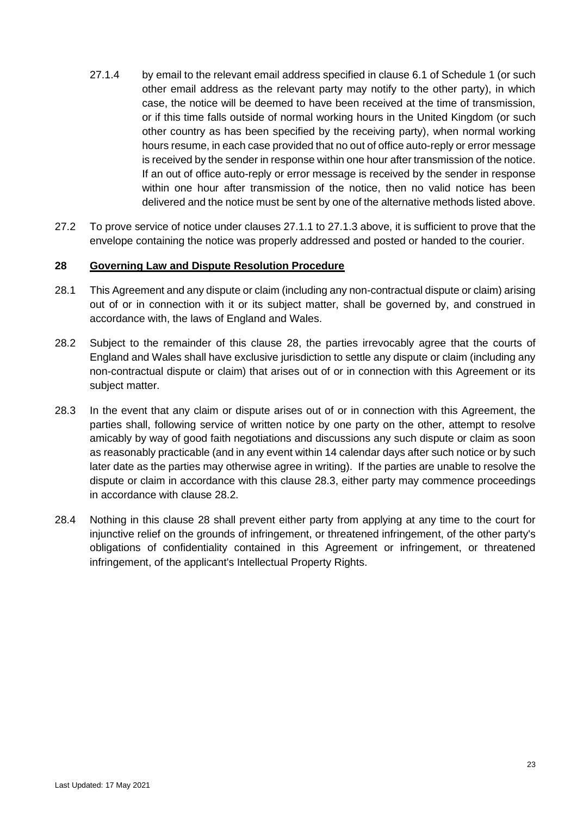- 27.1.4 by email to the relevant email address specified in clause [6.1](#page-3-0) of Schedule 1 (or such other email address as the relevant party may notify to the other party), in which case, the notice will be deemed to have been received at the time of transmission, or if this time falls outside of normal working hours in the United Kingdom (or such other country as has been specified by the receiving party), when normal working hours resume, in each case provided that no out of office auto-reply or error message is received by the sender in response within one hour after transmission of the notice. If an out of office auto-reply or error message is received by the sender in response within one hour after transmission of the notice, then no valid notice has been delivered and the notice must be sent by one of the alternative methods listed above.
- 27.2 To prove service of notice under clauses [27.1.1](#page-21-4) to [27.1.3](#page-21-5) above, it is sufficient to prove that the envelope containing the notice was properly addressed and posted or handed to the courier.

#### <span id="page-22-0"></span>**28 Governing Law and Dispute Resolution Procedure**

- 28.1 This Agreement and any dispute or claim (including any non-contractual dispute or claim) arising out of or in connection with it or its subject matter, shall be governed by, and construed in accordance with, the laws of England and Wales.
- <span id="page-22-2"></span>28.2 Subject to the remainder of this clause [28,](#page-22-0) the parties irrevocably agree that the courts of England and Wales shall have exclusive jurisdiction to settle any dispute or claim (including any non-contractual dispute or claim) that arises out of or in connection with this Agreement or its subject matter.
- <span id="page-22-1"></span>28.3 In the event that any claim or dispute arises out of or in connection with this Agreement, the parties shall, following service of written notice by one party on the other, attempt to resolve amicably by way of good faith negotiations and discussions any such dispute or claim as soon as reasonably practicable (and in any event within 14 calendar days after such notice or by such later date as the parties may otherwise agree in writing). If the parties are unable to resolve the dispute or claim in accordance with this clause [28.3,](#page-22-1) either party may commence proceedings in accordance with clause [28.2.](#page-22-2)
- 28.4 Nothing in this clause [28](#page-22-0) shall prevent either party from applying at any time to the court for injunctive relief on the grounds of infringement, or threatened infringement, of the other party's obligations of confidentiality contained in this Agreement or infringement, or threatened infringement, of the applicant's Intellectual Property Rights.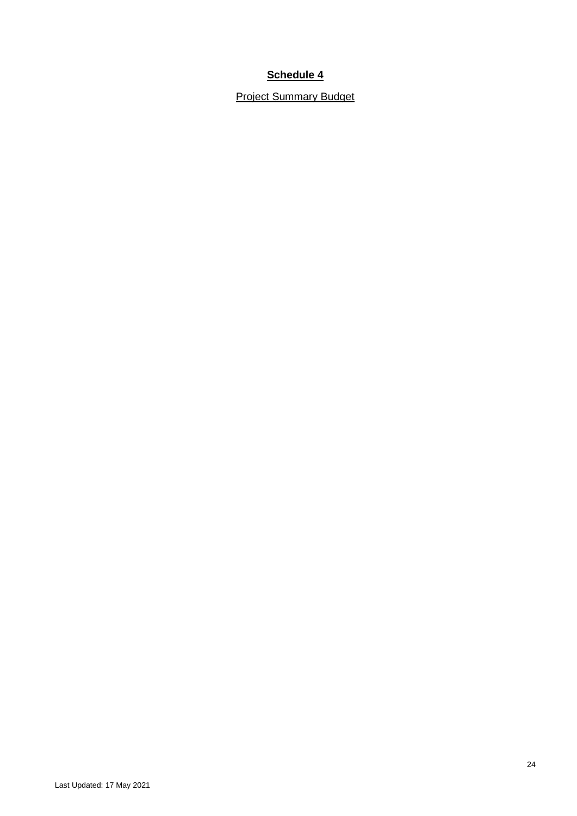<span id="page-23-0"></span>Project Summary Budget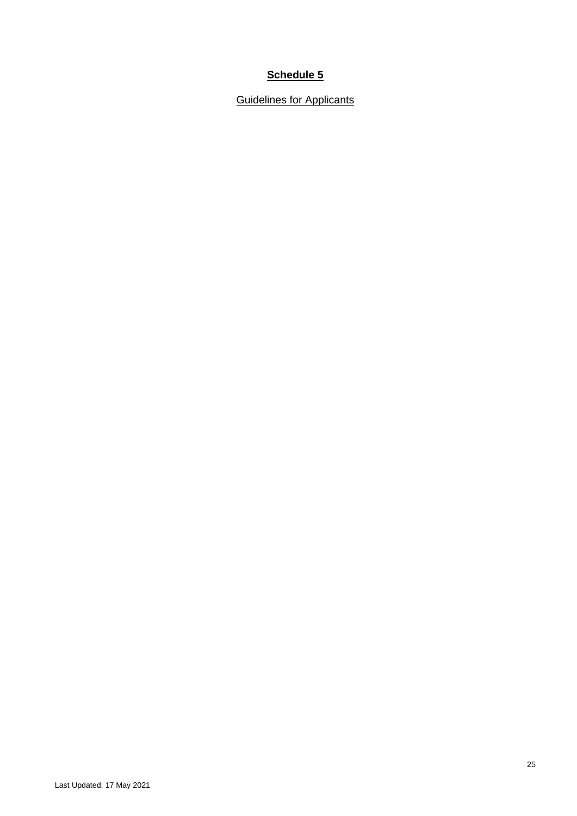<span id="page-24-0"></span>**Guidelines for Applicants**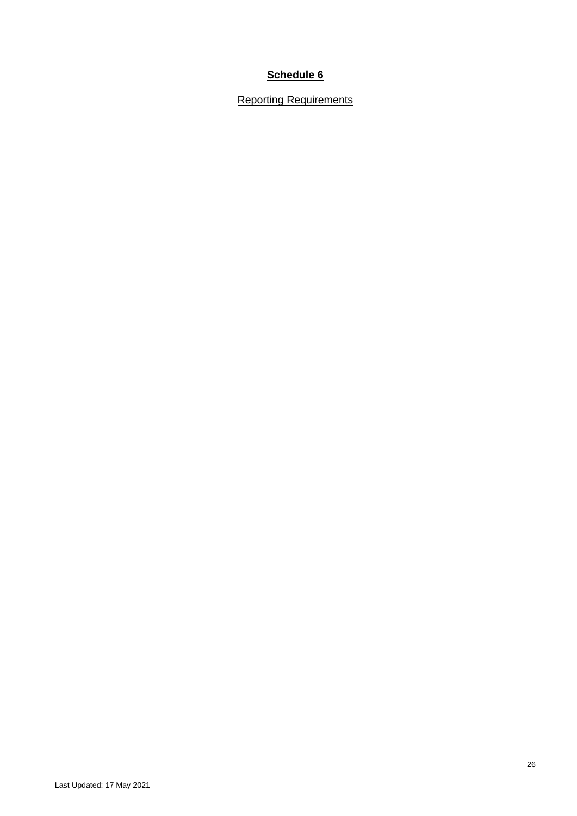Reporting Requirements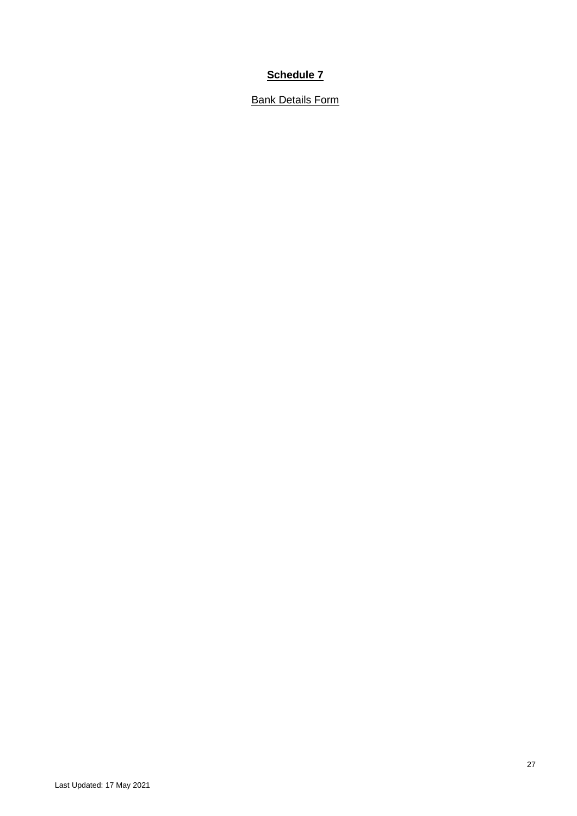**Bank Details Form**